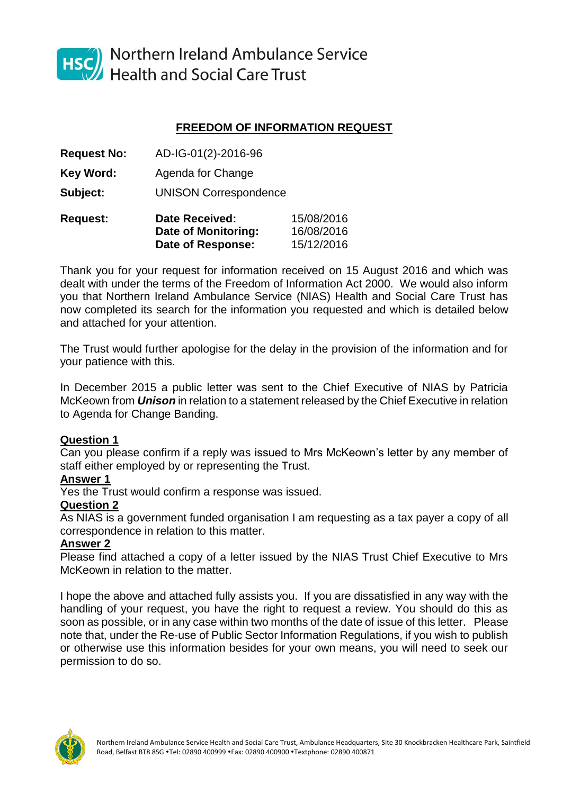

HSC Northern Ireland Ambulance Service<br>Health and Social Care Trust

# **FREEDOM OF INFORMATION REQUEST**

|                    | Date of Monitoring:          | 16/08/2016 |
|--------------------|------------------------------|------------|
| <b>Request:</b>    | <b>Date Received:</b>        | 15/08/2016 |
| Subject:           | <b>UNISON Correspondence</b> |            |
| <b>Key Word:</b>   | Agenda for Change            |            |
| <b>Request No:</b> | AD-IG-01(2)-2016-96          |            |

Thank you for your request for information received on 15 August 2016 and which was dealt with under the terms of the Freedom of Information Act 2000. We would also inform you that Northern Ireland Ambulance Service (NIAS) Health and Social Care Trust has now completed its search for the information you requested and which is detailed below and attached for your attention.

**Date of Response:** 15/12/2016

The Trust would further apologise for the delay in the provision of the information and for your patience with this.

In December 2015 a public letter was sent to the Chief Executive of NIAS by Patricia McKeown from *Unison* in relation to a statement released by the Chief Executive in relation to Agenda for Change Banding.

## **Question 1**

Can you please confirm if a reply was issued to Mrs McKeown's letter by any member of staff either employed by or representing the Trust.

### **Answer 1**

Yes the Trust would confirm a response was issued.

## **Question 2**

As NIAS is a government funded organisation I am requesting as a tax payer a copy of all correspondence in relation to this matter.

### **Answer 2**

Please find attached a copy of a letter issued by the NIAS Trust Chief Executive to Mrs McKeown in relation to the matter.

I hope the above and attached fully assists you. If you are dissatisfied in any way with the handling of your request, you have the right to request a review. You should do this as soon as possible, or in any case within two months of the date of issue of this letter. Please note that, under the Re-use of Public Sector Information Regulations, if you wish to publish or otherwise use this information besides for your own means, you will need to seek our permission to do so.